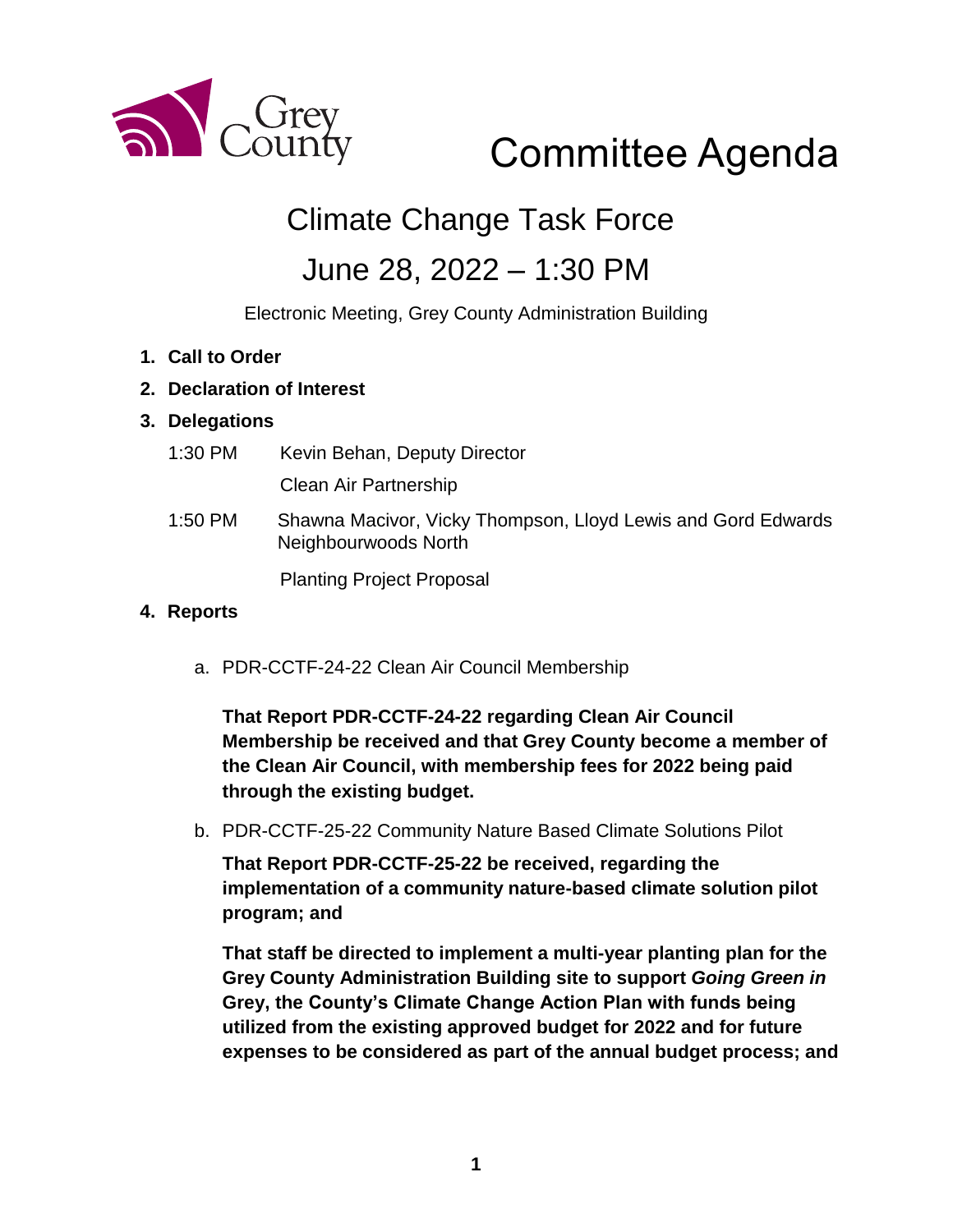

# Committee Agenda

# Climate Change Task Force

# June 28, 2022 – 1:30 PM

Electronic Meeting, Grey County Administration Building

- **1. Call to Order**
- **2. Declaration of Interest**

#### **3. Delegations**

1:30 PM Kevin Behan, Deputy Director

Clean Air Partnership

1:50 PM Shawna Macivor, Vicky Thompson, Lloyd Lewis and Gord Edwards Neighbourwoods North

Planting Project Proposal

#### **4. Reports**

a. PDR-CCTF-24-22 Clean Air Council Membership

**That Report PDR-CCTF-24-22 regarding Clean Air Council Membership be received and that Grey County become a member of the Clean Air Council, with membership fees for 2022 being paid through the existing budget.**

b. PDR-CCTF-25-22 Community Nature Based Climate Solutions Pilot

**That Report PDR-CCTF-25-22 be received, regarding the implementation of a community nature-based climate solution pilot program; and**

**That staff be directed to implement a multi-year planting plan for the Grey County Administration Building site to support** *Going Green in*  **Grey, the County's Climate Change Action Plan with funds being utilized from the existing approved budget for 2022 and for future expenses to be considered as part of the annual budget process; and**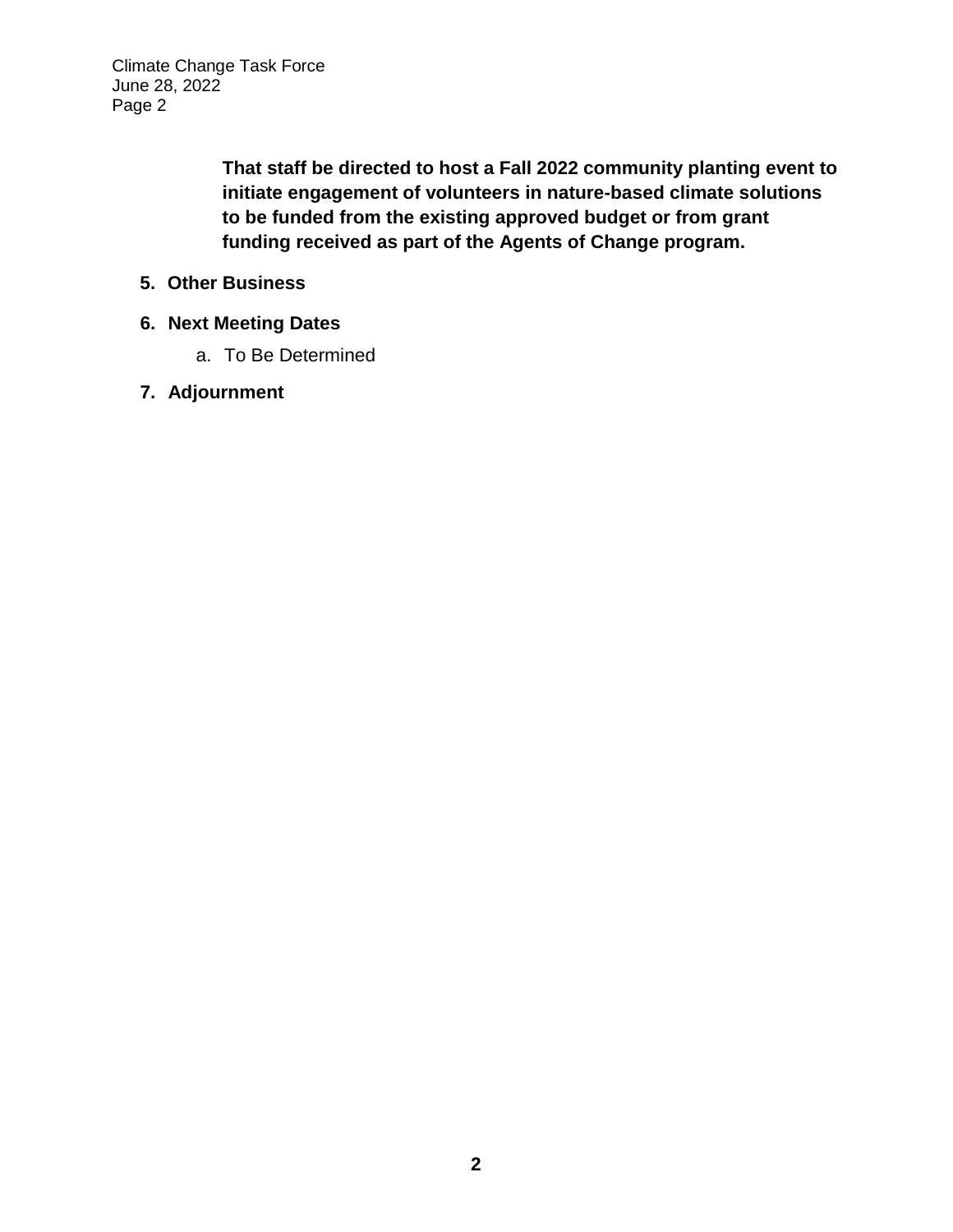Climate Change Task Force June 28, 2022 Page 2

> **That staff be directed to host a Fall 2022 community planting event to initiate engagement of volunteers in nature-based climate solutions to be funded from the existing approved budget or from grant funding received as part of the Agents of Change program.**

- **5. Other Business**
- **6. Next Meeting Dates**
	- a. To Be Determined
- **7. Adjournment**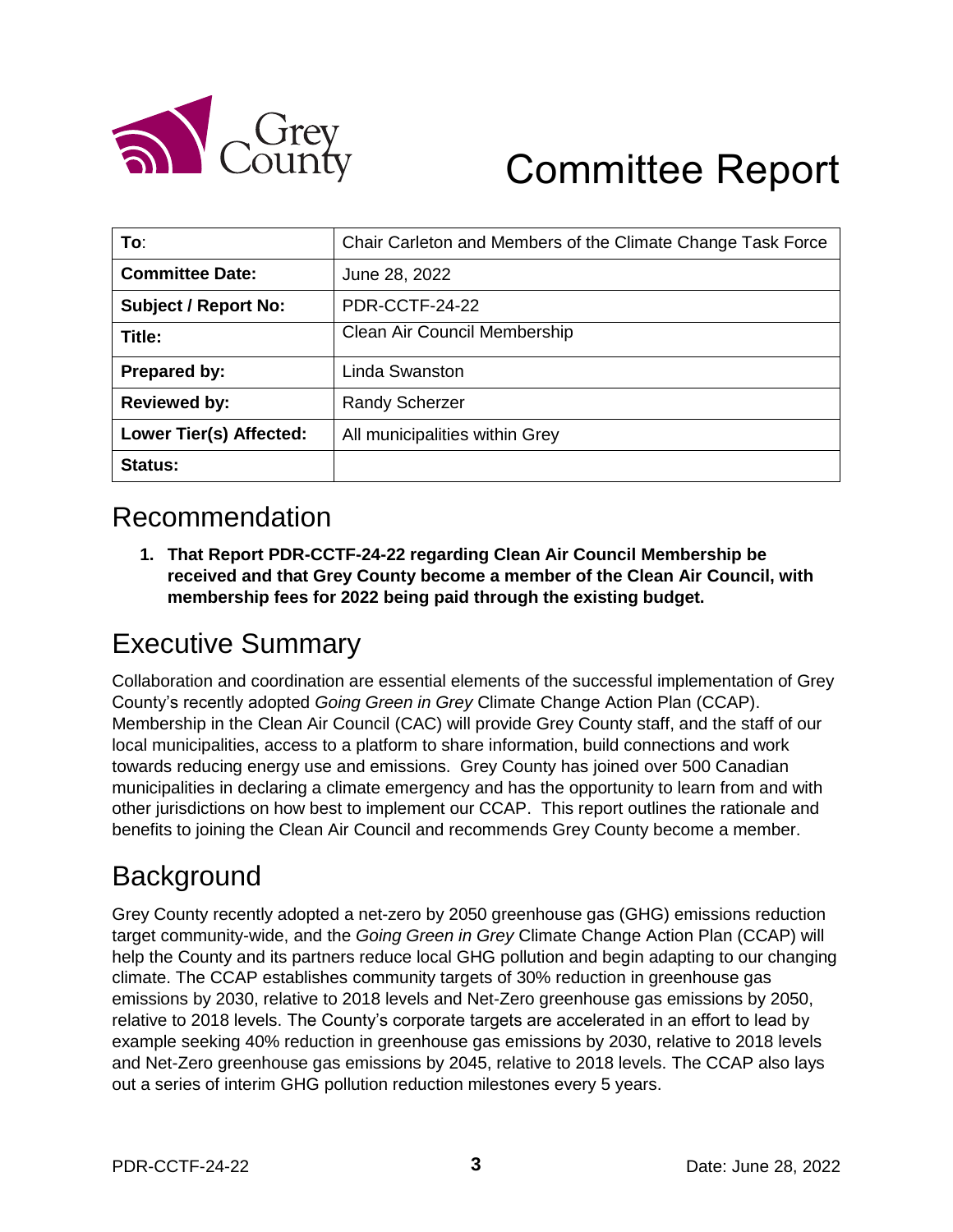

# Committee Report

| To:                            | Chair Carleton and Members of the Climate Change Task Force |
|--------------------------------|-------------------------------------------------------------|
| <b>Committee Date:</b>         | June 28, 2022                                               |
| <b>Subject / Report No:</b>    | PDR-CCTF-24-22                                              |
| Title:                         | Clean Air Council Membership                                |
| <b>Prepared by:</b>            | Linda Swanston                                              |
| <b>Reviewed by:</b>            | <b>Randy Scherzer</b>                                       |
| <b>Lower Tier(s) Affected:</b> | All municipalities within Grey                              |
| Status:                        |                                                             |

### Recommendation

**1. That Report PDR-CCTF-24-22 regarding Clean Air Council Membership be received and that Grey County become a member of the Clean Air Council, with membership fees for 2022 being paid through the existing budget.**

## Executive Summary

Collaboration and coordination are essential elements of the successful implementation of Grey County's recently adopted *Going Green in Grey* Climate Change Action Plan (CCAP). Membership in the Clean Air Council (CAC) will provide Grey County staff, and the staff of our local municipalities, access to a platform to share information, build connections and work towards reducing energy use and emissions. Grey County has joined over 500 Canadian municipalities in declaring a climate emergency and has the opportunity to learn from and with other jurisdictions on how best to implement our CCAP. This report outlines the rationale and benefits to joining the Clean Air Council and recommends Grey County become a member.

## **Background**

Grey County recently adopted a net-zero by 2050 greenhouse gas (GHG) emissions reduction target community-wide, and the *Going Green in Grey* Climate Change Action Plan (CCAP) will help the County and its partners reduce local GHG pollution and begin adapting to our changing climate. The CCAP establishes community targets of 30% reduction in greenhouse gas emissions by 2030, relative to 2018 levels and Net-Zero greenhouse gas emissions by 2050, relative to 2018 levels. The County's corporate targets are accelerated in an effort to lead by example seeking 40% reduction in greenhouse gas emissions by 2030, relative to 2018 levels and Net-Zero greenhouse gas emissions by 2045, relative to 2018 levels. The CCAP also lays out a series of interim GHG pollution reduction milestones every 5 years.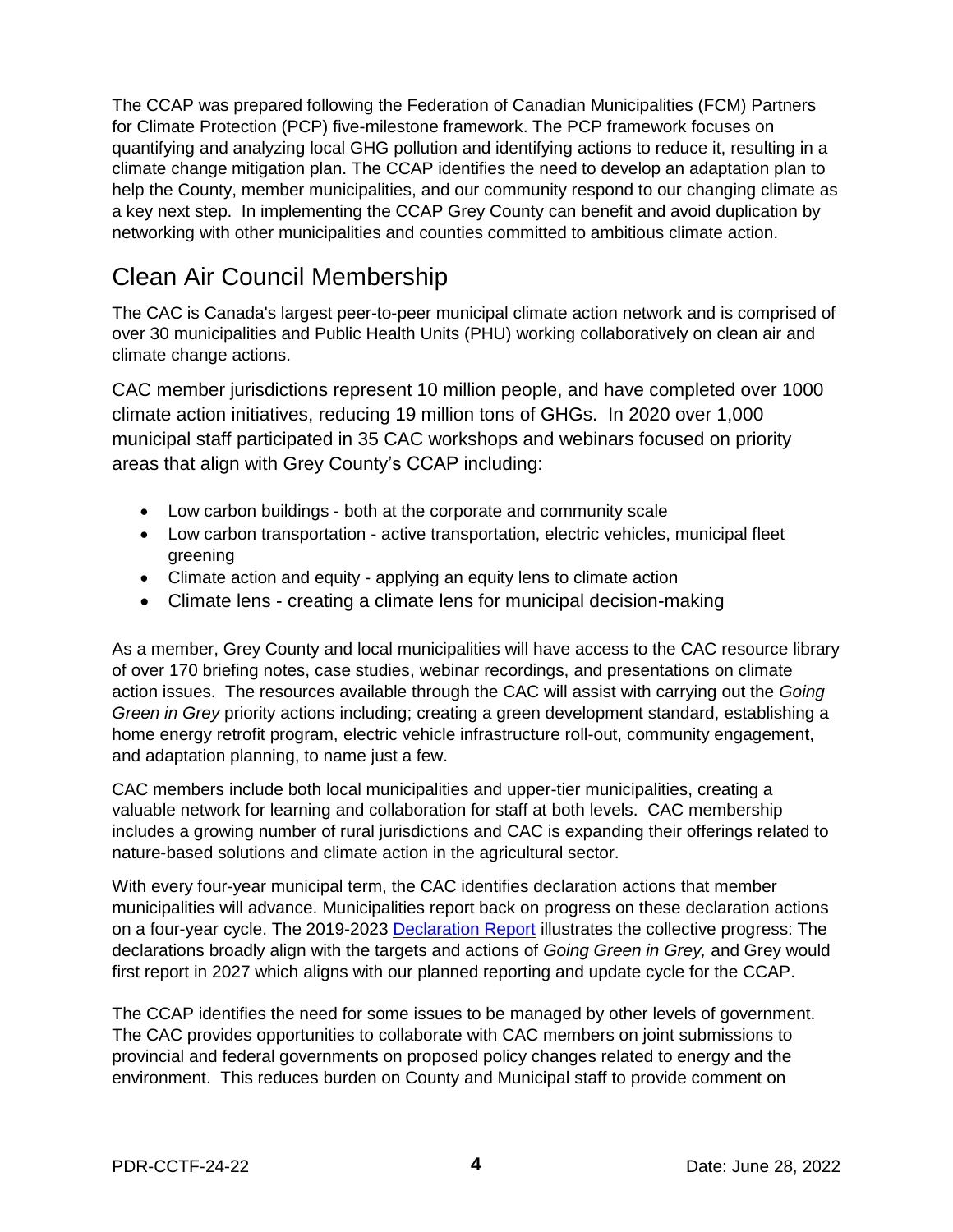The CCAP was prepared following the Federation of Canadian Municipalities (FCM) Partners for Climate Protection (PCP) five-milestone framework. The PCP framework focuses on quantifying and analyzing local GHG pollution and identifying actions to reduce it, resulting in a climate change mitigation plan. The CCAP identifies the need to develop an adaptation plan to help the County, member municipalities, and our community respond to our changing climate as a key next step. In implementing the CCAP Grey County can benefit and avoid duplication by networking with other municipalities and counties committed to ambitious climate action.

### Clean Air Council Membership

The CAC is Canada's largest peer-to-peer municipal climate action network and is comprised of over 30 municipalities and Public Health Units (PHU) working collaboratively on clean air and climate change actions.

CAC member jurisdictions represent 10 million people, and have completed over 1000 climate action initiatives, reducing 19 million tons of GHGs. In 2020 over 1,000 municipal staff participated in 35 CAC workshops and webinars focused on priority areas that align with Grey County's CCAP including:

- Low carbon buildings both at the corporate and community scale
- Low carbon transportation active transportation, electric vehicles, municipal fleet greening
- Climate action and equity applying an equity lens to climate action
- Climate lens creating a climate lens for municipal decision-making

As a member, Grey County and local municipalities will have access to the CAC resource library of over 170 briefing notes, case studies, webinar recordings, and presentations on climate action issues. The resources available through the CAC will assist with carrying out the *Going Green in Grey* priority actions including; creating a green development standard, establishing a home energy retrofit program, electric vehicle infrastructure roll-out, community engagement, and adaptation planning, to name just a few.

CAC members include both local municipalities and upper-tier municipalities, creating a valuable network for learning and collaboration for staff at both levels. CAC membership includes a growing number of rural jurisdictions and CAC is expanding their offerings related to nature-based solutions and climate action in the agricultural sector.

With every four-year municipal term, the CAC identifies declaration actions that member municipalities will advance. Municipalities report back on progress on these declaration actions on a four-year cycle. The 2019-2023 [Declaration Report](https://cleanairpartnership.org/cac/wp-content/uploads/2020/10/2019-2023-Intergovernmental-Declaration-on-Clean-Air-Climate-Change.pdf.) illustrates the collective progress: The declarations broadly align with the targets and actions of *Going Green in Grey,* and Grey would first report in 2027 which aligns with our planned reporting and update cycle for the CCAP.

The CCAP identifies the need for some issues to be managed by other levels of government. The CAC provides opportunities to collaborate with CAC members on joint submissions to provincial and federal governments on proposed policy changes related to energy and the environment. This reduces burden on County and Municipal staff to provide comment on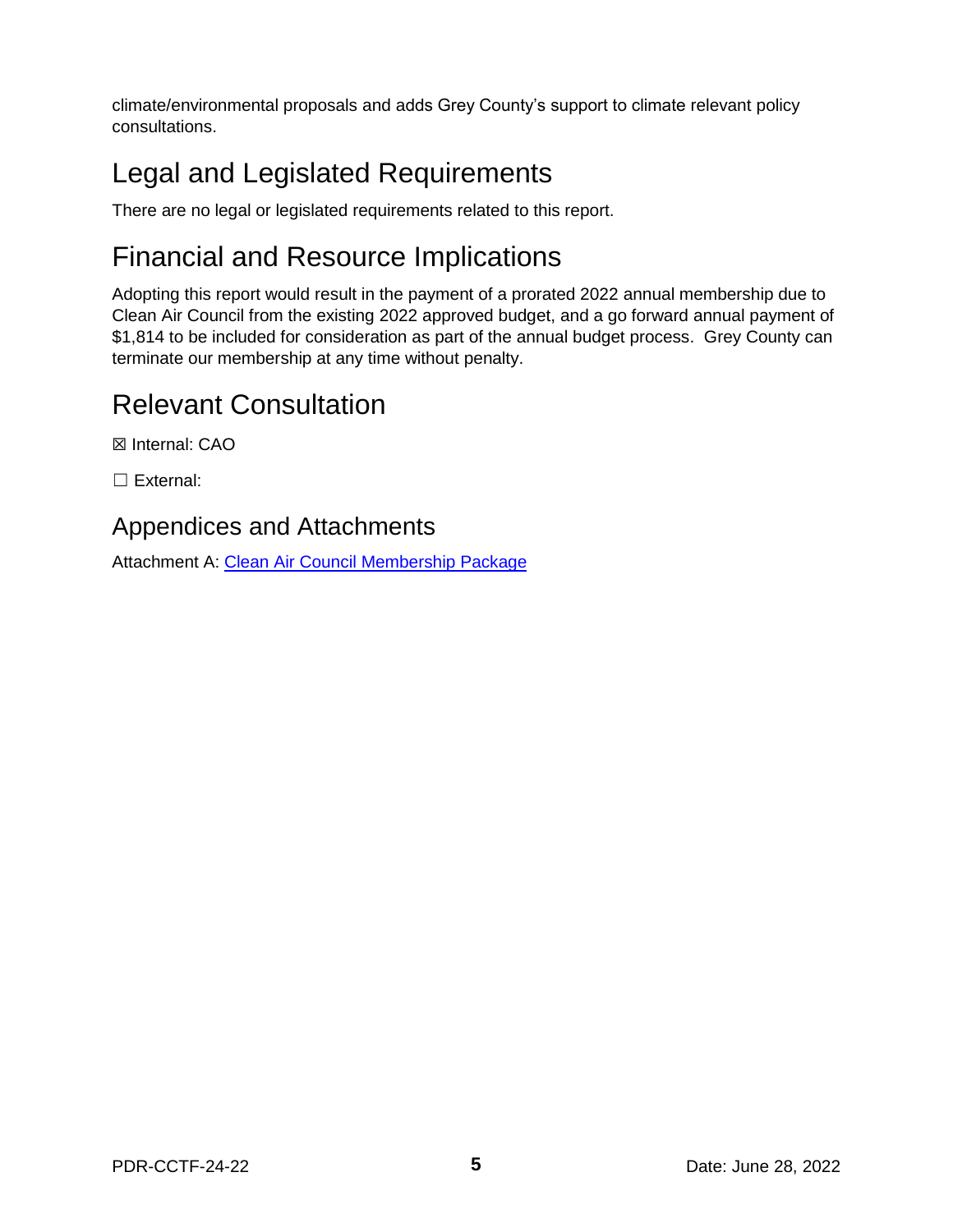climate/environmental proposals and adds Grey County's support to climate relevant policy consultations.

# Legal and Legislated Requirements

There are no legal or legislated requirements related to this report.

# Financial and Resource Implications

Adopting this report would result in the payment of a prorated 2022 annual membership due to Clean Air Council from the existing 2022 approved budget, and a go forward annual payment of \$1,814 to be included for consideration as part of the annual budget process. Grey County can terminate our membership at any time without penalty.

# Relevant Consultation

☒ Internal: CAO

☐ External:

### Appendices and Attachments

Attachment A: [Clean Air Council Membership Package](https://docs.grey.ca/share/public?nodeRef=workspace://SpacesStore/6aacb1e5-0401-4f3a-92e9-3915a233775c)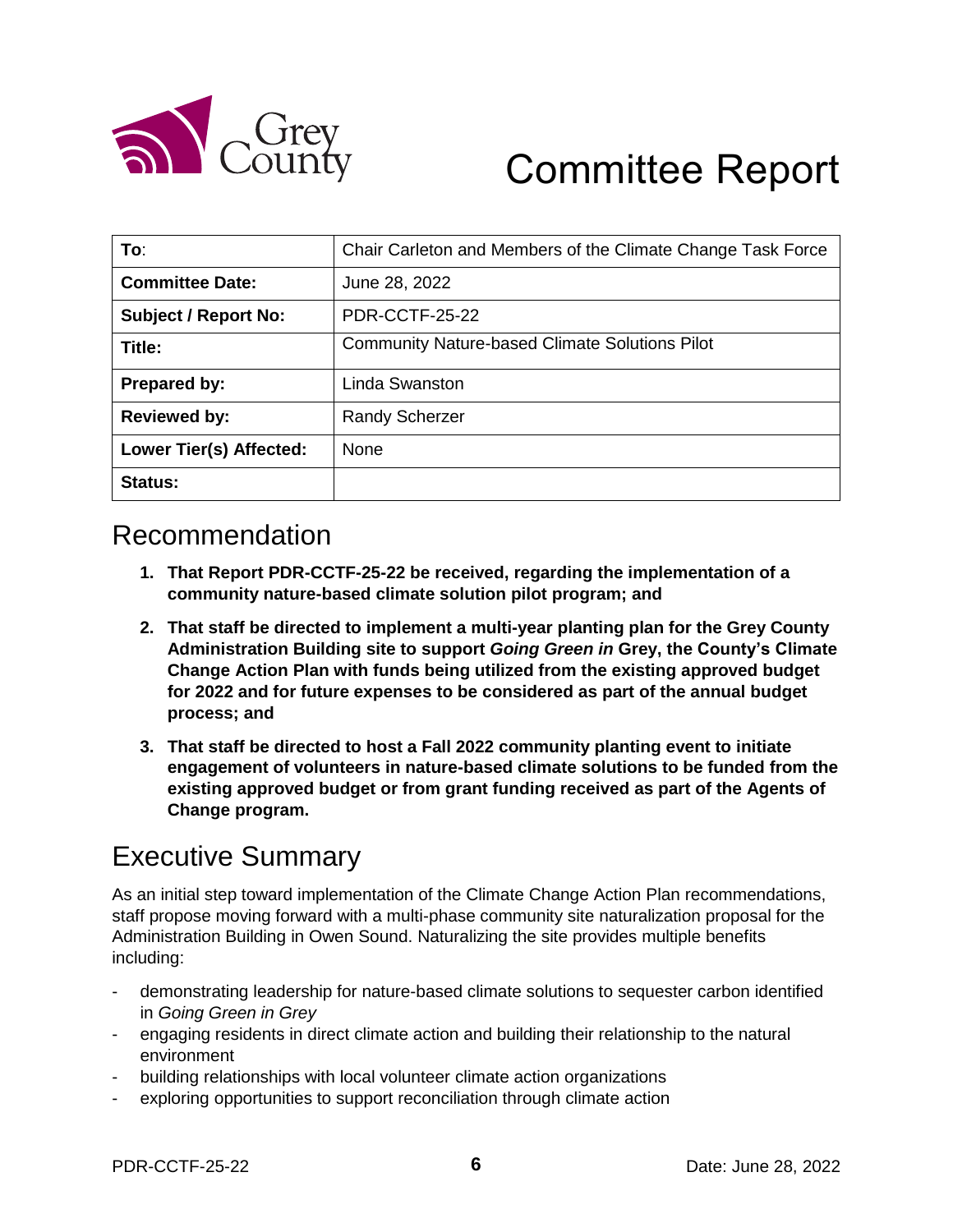

# Committee Report

| To:                            | Chair Carleton and Members of the Climate Change Task Force |
|--------------------------------|-------------------------------------------------------------|
| <b>Committee Date:</b>         | June 28, 2022                                               |
| <b>Subject / Report No:</b>    | <b>PDR-CCTF-25-22</b>                                       |
| Title:                         | <b>Community Nature-based Climate Solutions Pilot</b>       |
| Prepared by:                   | Linda Swanston                                              |
| <b>Reviewed by:</b>            | <b>Randy Scherzer</b>                                       |
| <b>Lower Tier(s) Affected:</b> | <b>None</b>                                                 |
| Status:                        |                                                             |

### Recommendation

- **1. That Report PDR-CCTF-25-22 be received, regarding the implementation of a community nature-based climate solution pilot program; and**
- **2. That staff be directed to implement a multi-year planting plan for the Grey County Administration Building site to support** *Going Green in* **Grey, the County's Climate Change Action Plan with funds being utilized from the existing approved budget for 2022 and for future expenses to be considered as part of the annual budget process; and**
- **3. That staff be directed to host a Fall 2022 community planting event to initiate engagement of volunteers in nature-based climate solutions to be funded from the existing approved budget or from grant funding received as part of the Agents of Change program.**

## Executive Summary

As an initial step toward implementation of the Climate Change Action Plan recommendations, staff propose moving forward with a multi-phase community site naturalization proposal for the Administration Building in Owen Sound. Naturalizing the site provides multiple benefits including:

- demonstrating leadership for nature-based climate solutions to sequester carbon identified in *Going Green in Grey*
- engaging residents in direct climate action and building their relationship to the natural environment
- building relationships with local volunteer climate action organizations
- exploring opportunities to support reconciliation through climate action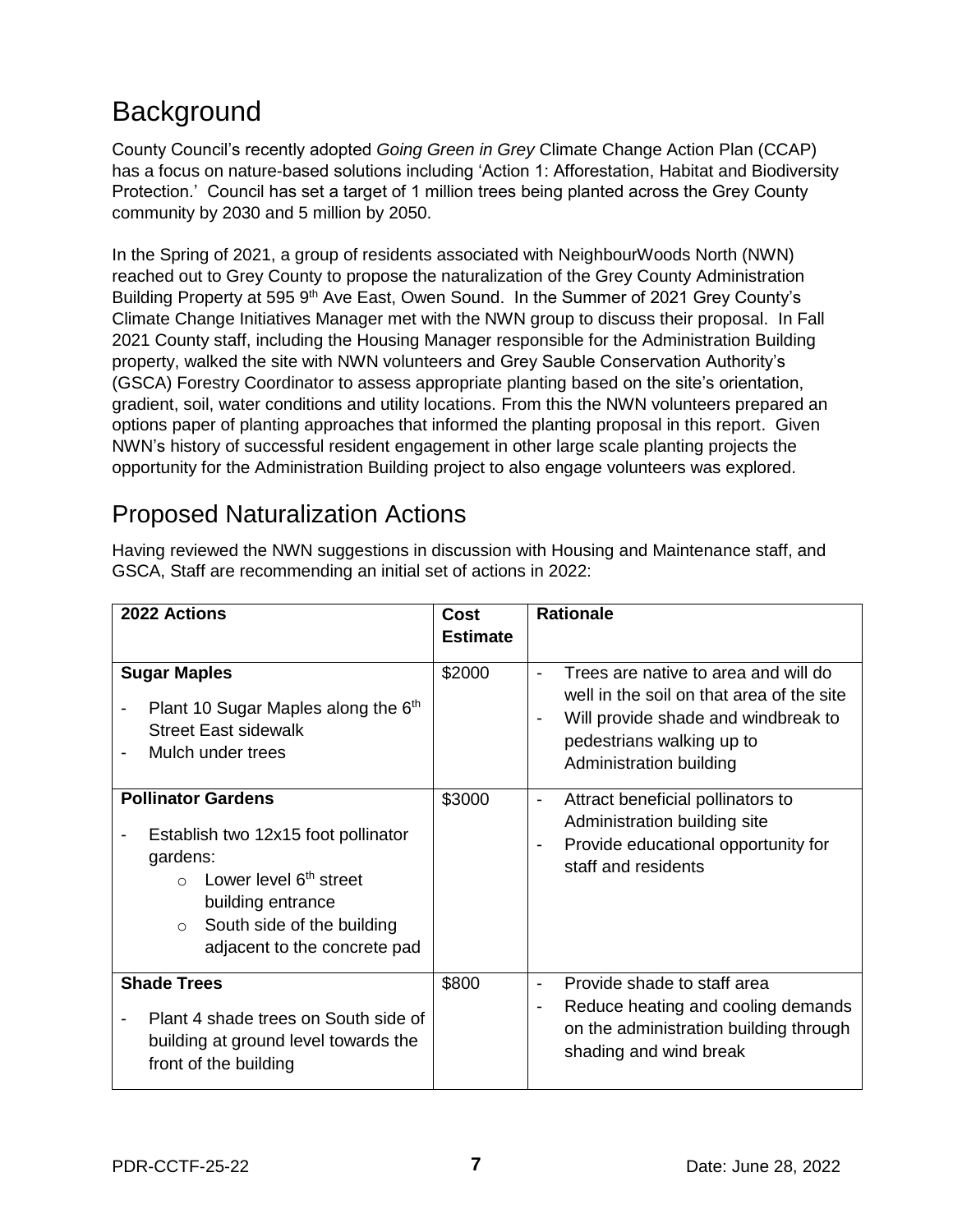# **Background**

County Council's recently adopted *Going Green in Grey* Climate Change Action Plan (CCAP) has a focus on nature-based solutions including 'Action 1: Afforestation, Habitat and Biodiversity Protection.' Council has set a target of 1 million trees being planted across the Grey County community by 2030 and 5 million by 2050.

In the Spring of 2021, a group of residents associated with NeighbourWoods North (NWN) reached out to Grey County to propose the naturalization of the Grey County Administration Building Property at 595 9<sup>th</sup> Ave East, Owen Sound. In the Summer of 2021 Grey County's Climate Change Initiatives Manager met with the NWN group to discuss their proposal. In Fall 2021 County staff, including the Housing Manager responsible for the Administration Building property, walked the site with NWN volunteers and Grey Sauble Conservation Authority's (GSCA) Forestry Coordinator to assess appropriate planting based on the site's orientation, gradient, soil, water conditions and utility locations. From this the NWN volunteers prepared an options paper of planting approaches that informed the planting proposal in this report. Given NWN's history of successful resident engagement in other large scale planting projects the opportunity for the Administration Building project to also engage volunteers was explored.

### Proposed Naturalization Actions

| Having reviewed the NWN suggestions in discussion with Housing and Maintenance staff, and |
|-------------------------------------------------------------------------------------------|
| GSCA, Staff are recommending an initial set of actions in 2022:                           |

| 2022 Actions                                                                                                                                                                                                                | <b>Cost</b>     | <b>Rationale</b>                                                                                                                                                                                                                   |  |  |
|-----------------------------------------------------------------------------------------------------------------------------------------------------------------------------------------------------------------------------|-----------------|------------------------------------------------------------------------------------------------------------------------------------------------------------------------------------------------------------------------------------|--|--|
|                                                                                                                                                                                                                             | <b>Estimate</b> |                                                                                                                                                                                                                                    |  |  |
| <b>Sugar Maples</b><br>Plant 10 Sugar Maples along the 6 <sup>th</sup><br><b>Street East sidewalk</b><br>Mulch under trees                                                                                                  | \$2000          | Trees are native to area and will do<br>$\overline{a}$<br>well in the soil on that area of the site<br>Will provide shade and windbreak to<br>$\qquad \qquad \blacksquare$<br>pedestrians walking up to<br>Administration building |  |  |
| <b>Pollinator Gardens</b><br>Establish two 12x15 foot pollinator<br>gardens:<br>Lower level 6 <sup>th</sup> street<br>$\cap$<br>building entrance<br>South side of the building<br>$\Omega$<br>adjacent to the concrete pad | \$3000          | Attract beneficial pollinators to<br>-<br>Administration building site<br>Provide educational opportunity for<br>$\overline{\phantom{0}}$<br>staff and residents                                                                   |  |  |
| <b>Shade Trees</b><br>Plant 4 shade trees on South side of<br>building at ground level towards the<br>front of the building                                                                                                 | \$800           | Provide shade to staff area<br>$\blacksquare$<br>Reduce heating and cooling demands<br>-<br>on the administration building through<br>shading and wind break                                                                       |  |  |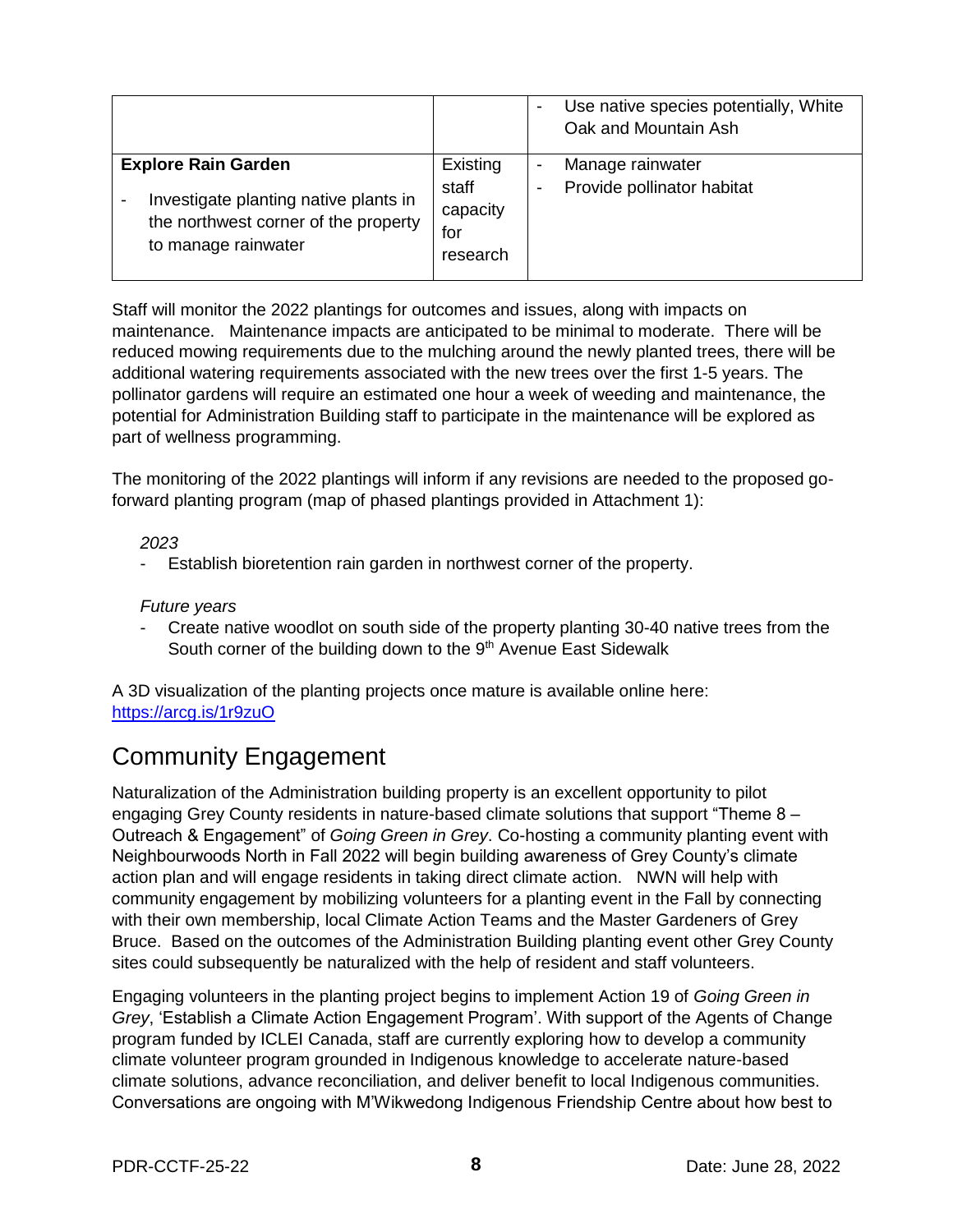|                                                                                                                                    |                                                  | $\overline{\phantom{a}}$ | Use native species potentially, White<br>Oak and Mountain Ash |
|------------------------------------------------------------------------------------------------------------------------------------|--------------------------------------------------|--------------------------|---------------------------------------------------------------|
| <b>Explore Rain Garden</b><br>Investigate planting native plants in<br>the northwest corner of the property<br>to manage rainwater | Existing<br>staff<br>capacity<br>for<br>research | -                        | Manage rainwater<br>Provide pollinator habitat                |

Staff will monitor the 2022 plantings for outcomes and issues, along with impacts on maintenance. Maintenance impacts are anticipated to be minimal to moderate. There will be reduced mowing requirements due to the mulching around the newly planted trees, there will be additional watering requirements associated with the new trees over the first 1-5 years. The pollinator gardens will require an estimated one hour a week of weeding and maintenance, the potential for Administration Building staff to participate in the maintenance will be explored as part of wellness programming.

The monitoring of the 2022 plantings will inform if any revisions are needed to the proposed goforward planting program (map of phased plantings provided in Attachment 1):

#### *2023*

Establish bioretention rain garden in northwest corner of the property.

### *Future years*

- Create native woodlot on south side of the property planting 30-40 native trees from the South corner of the building down to the 9<sup>th</sup> Avenue East Sidewalk

A 3D visualization of the planting projects once mature is available online here: <https://arcg.is/1r9zuO>

### Community Engagement

Naturalization of the Administration building property is an excellent opportunity to pilot engaging Grey County residents in nature-based climate solutions that support "Theme 8 – Outreach & Engagement" of *Going Green in Grey*. Co-hosting a community planting event with Neighbourwoods North in Fall 2022 will begin building awareness of Grey County's climate action plan and will engage residents in taking direct climate action. NWN will help with community engagement by mobilizing volunteers for a planting event in the Fall by connecting with their own membership, local Climate Action Teams and the Master Gardeners of Grey Bruce. Based on the outcomes of the Administration Building planting event other Grey County sites could subsequently be naturalized with the help of resident and staff volunteers.

Engaging volunteers in the planting project begins to implement Action 19 of *Going Green in Grey*, 'Establish a Climate Action Engagement Program'. With support of the Agents of Change program funded by ICLEI Canada, staff are currently exploring how to develop a community climate volunteer program grounded in Indigenous knowledge to accelerate nature-based climate solutions, advance reconciliation, and deliver benefit to local Indigenous communities. Conversations are ongoing with M'Wikwedong Indigenous Friendship Centre about how best to